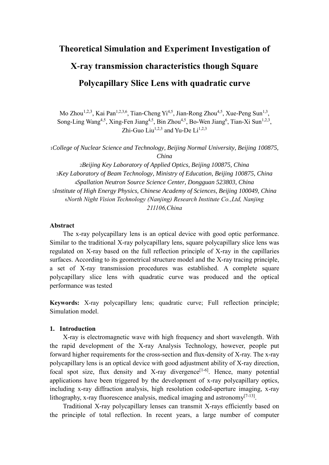# **Theoretical Simulation and Experiment Investigation of X-ray transmission characteristics though Square Polycapillary Slice Lens with quadratic curve**

Mo Zhou<sup>1,2,3</sup>, Kai Pan<sup>1,2,3,6</sup>, Tian-Cheng Yi<sup>4,5</sup>, Jian-Rong Zhou<sup>4,5</sup>, Xue-Peng Sun<sup>1,3</sup>, Song-Ling Wang<sup>4,5</sup>, Xing-Fen Jiang<sup>4,5</sup>, Bin Zhou<sup>4,5</sup>, Bo-Wen Jiang<sup>6</sup>, Tian-Xi Sun<sup>1,2,3</sup>, Zhi-Guo Liu<sup>1,2,3</sup> and Yu-De Li<sup>1,2,3</sup>

<sup>1</sup>*College of Nuclear Science and Technology, Beijing Normal University, Beijing 100875, China*

*Beijing Key Laboratory of Applied Optics, Beijing 100875, China Key Laboratory of Beam Technology, Ministry of Education, Beijing 100875, China Spallation Neutron Source Science Center, Dongguan 523803, China Institute of High Energy Physics, Chinese Academy of Sciences, Beijing 100049, China North Night Vision Technology (Nanjing) Research Institute Co.,Ltd, Nanjing 211106,China*

#### **Abstract**

The x-ray polycapillary lens is an optical device with good optic performance. Similar to the traditional X-ray polycapillary lens, square polycapillary slice lens was regulated on X-ray based on the full reflection principle of X-ray in the capillaries surfaces. According to its geometrical structure model and the X-ray tracing principle, a set of X-ray transmission procedures was established. A complete square polycapillary slice lens with quadratic curve was produced and the optical performance was tested

**Keywords:** X-ray polycapillary lens; quadratic curve; Full reflection principle; Simulation model.

## **1. Introduction**

X-ray is electromagnetic wave with high frequency and short wavelength. With the rapid development of the X-ray Analysis Technology, however, people put forward higher requirements for the cross-section and flux-density of X-ray. The x-ray polycapillary lens is an optical device with good adjustment ability of X-ray direction, focal spot size, flux density and X-ray divergence<sup>[1-6]</sup>. Hence, many potential applications have been triggered by the development of x-ray polycapillary optics, including x-ray diffraction analysis, high resolution coded-aperture imaging, x-ray lithography, x-ray fluorescence analysis, medical imaging and astronomy $^{[7-13]}$ .

Traditional X-ray polycapillary lenses can transmit X-rays efficiently based on the principle of total reflection. In recent years, a large number of computer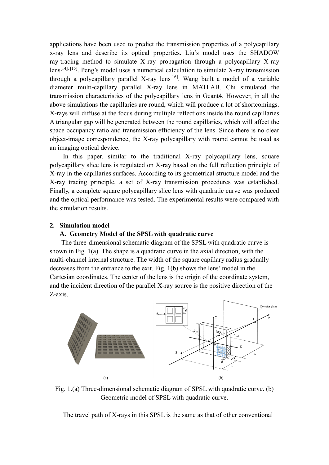applications have been used to predict the transmission properties of a polycapillary x-ray lens and describe its optical properties. Liu's model uses the SHADOW ray-tracing method to simulate X-ray propagation through a polycapillary X-ray lens<sup>[14], [15]</sup>. Peng's model uses a numerical calculation to simulate X-ray transmission through a polycapillary parallel X-ray lens<sup>[16]</sup>. Wang built a model of a variable diameter multi-capillary parallel X-ray lens in MATLAB. Chi simulated the transmission characteristics of the polycapillary lens in Geant4. However, in all the above simulations the capillaries are round, which will produce a lot of shortcomings. X-rays will diffuse at the focus during multiple reflections inside the round capillaries. A triangular gap will be generated between the round capillaries, which will affect the space occupancy ratio and transmission efficiency of the lens. Since there is no clear object-image correspondence, the X-ray polycapillary with round cannot be used as an imaging optical device.

In this paper, similar to the traditional X-ray polycapillary lens, square polycapillary slice lens is regulated on X-ray based on the full reflection principle of X-ray in the capillaries surfaces. According to its geometrical structure model and the X-ray tracing principle, a set of X-ray transmission procedures was established. Finally, a complete square polycapillary slice lens with quadratic curve was produced and the optical performance was tested. The experimental results were compared with the simulation results.

#### **2. Simulation model**

#### **A. Geometry Model of the SPSL with quadratic curve**

The three-dimensional schematic diagram of the SPSL with quadratic curve is shown in Fig. 1(a). The shape is a quadratic curve in the axial direction, with the multi-channel internal structure. The width of the square capillary radius gradually decreases from the entrance to the exit. Fig. 1(b) shows the lens' model in the Cartesian coordinates. The center of the lens is the origin of the coordinate system, and the incident direction of the parallel X-ray source is the positive direction of the Z-axis.



Fig. 1.(a) Three-dimensional schematic diagram of SPSL with quadratic curve. (b) Geometric model of SPSL with quadratic curve.

The travel path of X-rays in this SPSL is the same as that of other conventional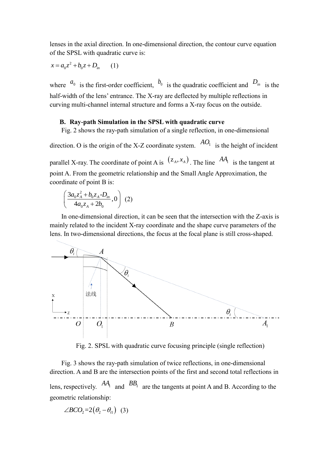lenses in the axial direction. In one-dimensional direction, the contour curve equation of the SPSL with quadratic curve is:

$$
x = a_0 z^2 + b_0 z + D_{in} \qquad (1)
$$

where  $a_0$  is the first-order coefficient,  $b_0$  is the quadratic coefficient and  $D_{in}$  is the half-width of the lens' entrance. The X-ray are deflected by multiple reflections in curving multi-channel internal structure and forms a X-ray focus on the outside.

## **B. Ray-path Simulation in the SPSL with quadratic curve**

Fig. 2 shows the ray-path simulation of a single reflection, in one-dimensional

direction. O is the origin of the X-Z coordinate system.  $^{AO_1}$  is the height of incident

parallel X-ray. The coordinate of point A is  $(z_A, x_A)$ . The line  $AA_1$  is the tangent at point A. From the geometric relationship and the Small Angle Approximation, the coordinate of point B is:

$$
\left(\frac{3a_0z_A^2 + b_0z_A - D_{in}}{4a_0z_A + 2b_0}, 0\right) (2)
$$

In one-dimensional direction, it can be seen that the intersection with the Z-axis is mainly related to the incident X-ray coordinate and the shape curve parameters of the lens. In two-dimensional directions, the focus at the focal plane is still cross-shaped.



Fig. 2. SPSL with quadratic curve focusing principle (single reflection)

Fig. 3 shows the ray-path simulation of twice reflections, in one-dimensional direction. A and B are the intersection points of the first and second total reflections in lens, respectively.  $AA_1$  and  $BB_1$  are the tangents at point A and B. According to the geometric relationship:

$$
\angle BCO_2 = 2(\theta_2 - \theta_{i1})
$$
 (3)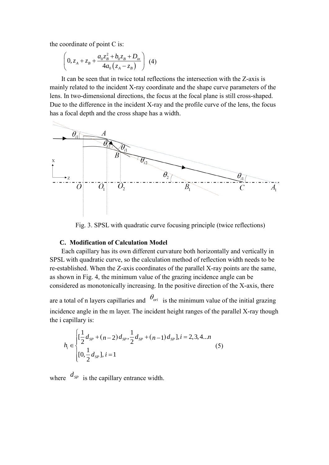the coordinate of point C is:

$$
\left(0, z_A + z_B + \frac{a_0 z_B^2 + b_0 z_B + D_{in}}{4a_0 (z_A - z_B)}\right)
$$
 (4)

It can be seen that in twice total reflections the intersection with the Z-axis is mainly related to the incident X-ray coordinate and the shape curve parameters of the lens. In two-dimensional directions, the focus at the focal plane is still cross-shaped. Due to the difference in the incident X-ray and the profile curve of the lens, the focus has a focal depth and the cross shape has a width.



Fig. 3. SPSL with quadratic curve focusing principle (twice reflections)

## **C. Modification of Calculation Model**

Each capillary has its own different curvature both horizontally and vertically in SPSL with quadratic curve, so the calculation method of reflection width needs to be re-established. When the Z-axis coordinates of the parallel X-ray points are the same, as shown in Fig. 4, the minimum value of the grazing incidence angle can be considered as monotonically increasing. In the positive direction of the X-axis, there

are a total of n layers capillaries and  $\theta_{\text{ori}}$  is the minimum value of the initial grazing incidence angle in the m layer. The incident height ranges of the parallel X-ray though the i capillary is:

$$
h_i \in \begin{cases} \left[\frac{1}{2}d_{sp} + (n-2)d_{sp}, \frac{1}{2}d_{sp} + (n-1)d_{sp}\right], i = 2, 3, 4...n\\ \left[0, \frac{1}{2}d_{sp}\right], i = 1 \end{cases} \tag{5}
$$

where  $d_{SP}$  is the capillary entrance width.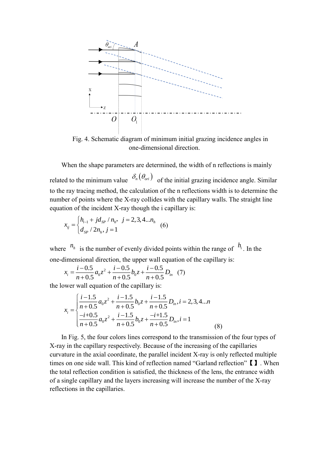

Fig. 4. Schematic diagram of minimum initial grazing incidence angles in one-dimensional direction.

When the shape parameters are determined, the width of n reflections is mainly related to the minimum value  $\delta_n(\theta_{\text{ori}})$  of the initial grazing incidence angle. Similar to the ray tracing method, the calculation of the n reflections width is to determine the number of points where the X-ray collides with the capillary walls. The straight line equation of the incident X-ray though the i capillary is:

$$
x_{ij} = \begin{cases} h_{i-1} + j d_{SP} / n_h, & j = 2, 3, 4...n_h \\ d_{SP} / 2n_h, & j = 1 \end{cases}
$$
 (6)

where  $n_h$  is the number of evenly divided points within the range of  $h_i$ . In the one-dimensional direction, the upper wall equation of the capillary is:

$$
x_i = \frac{i - 0.5}{n + 0.5} a_0 z^2 + \frac{i - 0.5}{n + 0.5} b_0 z + \frac{i - 0.5}{n + 0.5} D_{in} \tag{7}
$$

the lower wall equation of the capillary is:

$$
x_{i} = \begin{cases} \frac{i-1.5}{n+0.5}a_{0}z^{2} + \frac{i-1.5}{n+0.5}b_{0}z + \frac{i-1.5}{n+0.5}D_{in}, i = 2, 3, 4...n\\ \frac{-i+0.5}{n+0.5}a_{0}z^{2} + \frac{i-1.5}{n+0.5}b_{0}z + \frac{-i+1.5}{n+0.5}D_{in}, i = 1 \end{cases}
$$
(8)

In Fig. 5, the four colors lines correspond to the transmission of the four types of X-ray in the capillary respectively. Because of the increasing of the capillaries curvature in the axial coordinate, the parallel incident X-ray is only reflected multiple times on one side wall. This kind of reflection named "Garland reflection"【】. When the total reflection condition is satisfied, the thickness of the lens, the entrance width of a single capillary and the layers increasing will increase the number of the X-ray reflections in the capillaries.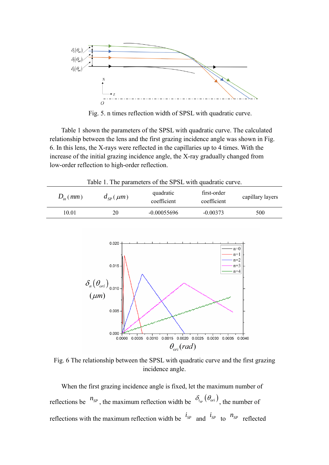

Fig. 5. n times reflection width of SPSL with quadratic curve.

Table 1 shown the parameters of the SPSL with quadratic curve. The calculated relationship between the lens and the first grazing incidence angle was shown in Fig. 6. In this lens, the X-rays were reflected in the capillaries up to 4 times. With the increase of the initial grazing incidence angle, the X-ray gradually changed from low-order reflection to high-order reflection.

Table 1. The parameters of the SPSL with quadratic curve.

| $D_{in}(mm)$ | $d_{SP}(\mu m)$ | quadratic<br>coefficient | first-order<br>coefficient | capillary layers |
|--------------|-----------------|--------------------------|----------------------------|------------------|
| 10.01        | 20              | $-0.00055696$            | $-0.00373$                 | 500              |



Fig. 6 The relationship between the SPSL with quadratic curve and the first grazing incidence angle.

When the first grazing incidence angle is fixed, let the maximum number of reflections be  $^{n_{SP}}$ , the maximum reflection width be  $^{S_{i_{SP}}(\theta_{ori})}$ , the number of reflections with the maximum reflection width be  $i_{SP}$  and  $i_{SP}$  to  $n_{SP}$  reflected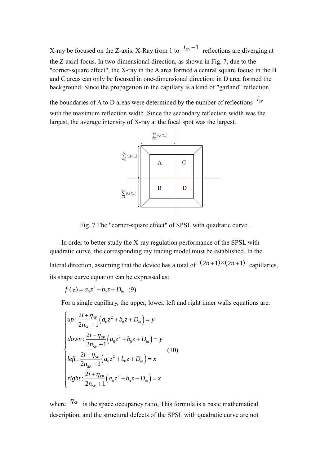X-ray be focused on the Z-axis. X-Ray from 1 to  $i_{SP} - 1$  reflections are diverging at the Z-axial focus. In two-dimensional direction, as shown in Fig. 7, due to the "corner-square effect", the X-ray in the A area formed a central square focus; in the B and C areas can only be focused in one-dimensional direction; in D area formed the background. Since the propagation in the capillary is a kind of "garland" reflection,

the boundaries of A to D areas were determined by the number of reflections  $i_{SP}$ with the maximum reflection width. Since the secondary reflection width was the largest, the average intensity of X-ray at the focal spot was the largest.



Fig. 7 The "corner-square effect" of SPSL with quadratic curve.

In order to better study the X-ray regulation performance of the SPSL with quadratic curve, the corresponding ray tracing model must be established. In the

lateral direction, assuming that the device has a total of  $(2n+1)\times(2n+1)$  capillaries, its shape curve equation can be expressed as:

$$
f(z) = a_0 z^2 + b_0 z + D_{in} (9)
$$

For a single capillary, the upper, lower, left and right inner walls equations are:

$$
\begin{cases}\nup: \frac{2i + \eta_{SP}}{2n_{SP} + 1} \left( a_0 z^2 + b_0 z + D_{in} \right) = y \\
down: \frac{2i - \eta_{SP}}{2n_{SP} + 1} \left( a_0 z^2 + b_0 z + D_{in} \right) = y \\
left: \frac{2i - \eta_{SP}}{2n_{SP} + 1} \left( a_0 z^2 + b_0 z + D_{in} \right) = x \\
right: \frac{2i + \eta_{SP}}{2n_{SP} + 1} \left( a_0 z^2 + b_0 z + D_{in} \right) = x\n\end{cases}
$$
\n(10)

where  $\eta_{SP}$  is the space occupancy ratio, This formula is a basic mathematical description, and the structural defects of the SPSL with quadratic curve are not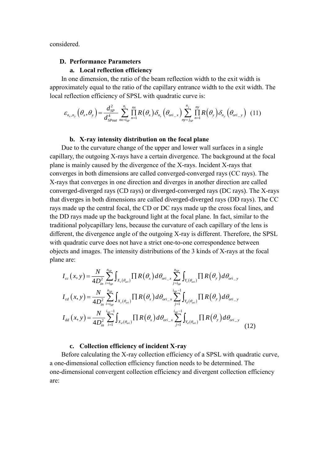considered.

#### **D. Performance Parameters**

## **a. Local reflection efficiency**

In one dimension, the ratio of the beam reflection width to the exit width is approximately equal to the ratio of the capillary entrance width to the exit width. The local reflection efficiency of SPSL with quadratic curve is:

$$
\varepsilon_{n_x,n_y}\left(\theta_x,\theta_y\right) = \frac{d_{SP}^2}{d_{Spout}^4}\sum_{n_x=i_{SP}}^{n_i}\prod_{n=1}^{nx}R\left(\theta_x\right)\delta_{n_x}\left(\theta_{ori_x}\right)\sum_{ny=j_{SP}}^{n_j}\prod_{n=1}^{ny}R\left(\theta_y\right)\delta_{n_y}\left(\theta_{ori_y}\right) \tag{11}
$$

#### **b. X-ray intensity distribution on the focal plane**

Due to the curvature change of the upper and lower wall surfaces in a single capillary, the outgoing X-rays have a certain divergence. The background at the focal plane is mainly caused by the divergence of the X-rays. Incident X-rays that converges in both dimensions are called converged-converged rays (CC rays). The X-rays that converges in one direction and diverges in another direction are called converged-diverged rays (CD rays) or diverged-converged rays (DC rays). The X-rays that diverges in both dimensions are called diverged-diverged rays (DD rays). The CC rays made up the central focal, the CD or DC rays made up the cross focal lines, and the DD rays made up the background light at the focal plane. In fact, similar to the traditional polycapillary lens, because the curvature of each capillary of the lens is different, the divergence angle of the outgoing X-ray is different. Therefore, the SPSL with quadratic curve does not have a strict one-to-one correspondence between objects and images. The intensity distributions of the 3 kinds of X-rays at the focal plane are:

$$
I_{cc}(x, y) = \frac{N}{4D_{in}^{2}} \sum_{i=i_{sp}}^{n_{sp}} \int_{X_{c}(\theta_{ori})} \prod R(\theta_{x}) d\theta_{ori_{-}x} \sum_{j=i_{sp}}^{n_{sp}} \int_{Y_{c}(\theta_{ori})} \prod R(\theta_{y}) d\theta_{ori_{-}y}
$$
  
\n
$$
I_{cd}(x, y) = \frac{N}{4D_{in}^{2}} \sum_{i=i_{sp}}^{n_{sp}} \int_{X_{c}(\theta_{ori})} \prod R(\theta_{x}) d\theta_{ori_{-}x} \sum_{j=1}^{i_{sp}-1} \int_{Y_{d}(\theta_{ori})} \prod R(\theta_{y}) d\theta_{ori_{-}y}
$$
  
\n
$$
I_{dd}(x, y) = \frac{N}{4D_{in}^{2}} \sum_{i=1}^{i_{sp}-1} \int_{X_{d}(\theta_{ori})} \prod R(\theta_{x}) d\theta_{ori_{-}x} \sum_{j=1}^{i_{sp}-1} \int_{Y_{d}(\theta_{ori})} \prod R(\theta_{y}) d\theta_{ori_{-}y}
$$
(12)

#### **c. Collection efficiency of incident X-ray**

Before calculating the X-ray collection efficiency of a SPSL with quadratic curve, a one-dimensional collection efficiency function needs to be determined. The one-dimensional convergent collection efficiency and divergent collection efficiency are: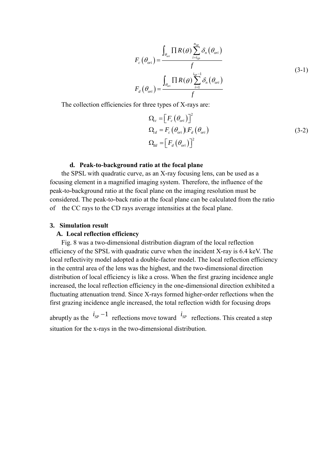$$
F_c\left(\theta_{ori}\right) = \frac{\int_{\theta_{ori}} \prod R(\theta) \sum_{i=ig_p}^{n_{SP}} \delta_n\left(\theta_{ori}\right)}{f}
$$
\n
$$
F_d\left(\theta_{ori}\right) = \frac{\int_{\theta_{ori}} \prod R(\theta) \sum_{i=1}^{ig_p-1} \delta_n\left(\theta_{ori}\right)}{f}
$$
\n(3-1)

The collection efficiencies for three types of X-rays are:

$$
\Omega_{cc} = \left[ F_c \left( \theta_{ori} \right) \right]^2
$$
\n
$$
\Omega_{cd} = F_c \left( \theta_{ori} \right) \mathbb{F}_d \left( \theta_{ori} \right)
$$
\n
$$
\Omega_{dd} = \left[ F_d \left( \theta_{ori} \right) \right]^2
$$
\n(3-2)

#### **d. Peak-to-background ratio at the focal plane**

the SPSL with quadratic curve, as an X-ray focusing lens, can be used as a focusing element in a magnified imaging system. Therefore, the influence of the peak-to-background ratio at the focal plane on the imaging resolution must be considered. The peak-to-back ratio at the focal plane can be calculated from the ratio of the CC rays to the CD rays average intensities at the focal plane.

#### **3. Simulation result**

#### **A. Local reflection efficiency**

Fig. 8 was a two-dimensional distribution diagram of the local reflection efficiency of the SPSL with quadratic curve when the incident X-ray is 6.4 keV. The local reflectivity model adopted a double-factor model. The local reflection efficiency in the central area of the lens was the highest, and the two-dimensional direction distribution of local efficiency is like a cross. When the first grazing incidence angle increased, the local reflection efficiency in the one-dimensional direction exhibited a fluctuating attenuation trend. Since X-rays formed higher-order reflections when the first grazing incidence angle increased, the total reflection width for focusing drops

abruptly as the  $i_{SP} - 1$  reflections move toward  $i_{SP}$  reflections. This created a step situation for the x-rays in the two-dimensional distribution.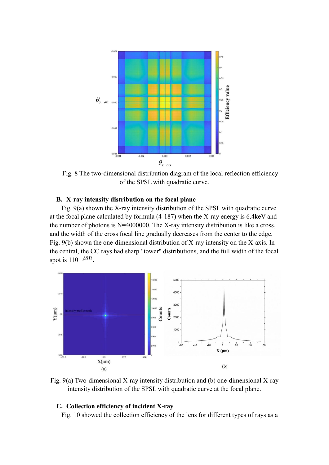

Fig. 8 The two-dimensional distribution diagram of the local reflection efficiency of the SPSL with quadratic curve.

## **B. X-ray intensity distribution on the focal plane**

Fig. 9(a) shown the X-ray intensity distribution of the SPSL with quadratic curve at the focal plane calculated by formula (4-187) when the X-ray energy is 6.4keV and the number of photons is N=4000000. The X-ray intensity distribution is like a cross, and the width of the cross focal line gradually decreases from the center to the edge. Fig. 9(b) shown the one-dimensional distribution of X-ray intensity on the X-axis. In the central, the CC rays had sharp "tower" distributions, and the full width of the focal spot is 110  $\mu$ <sup>m</sup>.



Fig. 9(a) Two-dimensional X-ray intensity distribution and (b) one-dimensional X-ray intensity distribution of the SPSL with quadratic curve at the focal plane.

#### **C. Collection efficiency of incident X-ray**

Fig. 10 showed the collection efficiency of the lens for different types of rays as a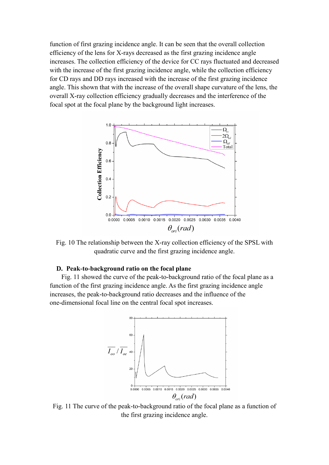function of first grazing incidence angle. It can be seen that the overall collection efficiency of the lens for X-rays decreased as the first grazing incidence angle increases. The collection efficiency of the device for CC rays fluctuated and decreased with the increase of the first grazing incidence angle, while the collection efficiency for CD rays and DD rays increased with the increase of the first grazing incidence angle. This shown that with the increase of the overall shape curvature of the lens, the overall X-ray collection efficiency gradually decreases and the interference of the focal spot at the focal plane by the background light increases.



Fig. 10 The relationship between the X-ray collection efficiency of the SPSL with quadratic curve and the first grazing incidence angle.

## **D. Peak-to-background ratio on the focal plane**

Fig. 11 showed the curve of the peak-to-background ratio of the focal plane as a function of the first grazing incidence angle. As the first grazing incidence angle increases, the peak-to-background ratio decreases and the influence of the one-dimensional focal line on the central focal spot increases.



Fig. 11 The curve of the peak-to-background ratio of the focal plane as a function of the first grazing incidence angle.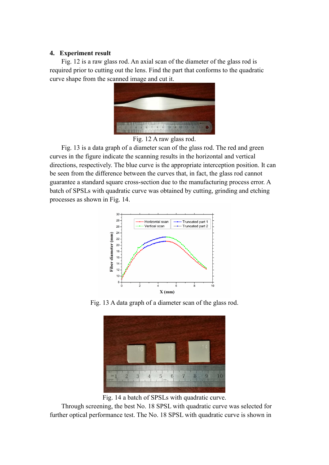## **4. Experiment result**

Fig. 12 is a raw glass rod. An axial scan of the diameter of the glass rod is required prior to cutting out the lens. Find the part that conforms to the quadratic curve shape from the scanned image and cut it.



Fig. 12 A raw glass rod.

Fig. 13 is a data graph of a diameter scan of the glass rod. The red and green curves in the figure indicate the scanning results in the horizontal and vertical directions, respectively. The blue curve is the appropriate interception position. It can be seen from the difference between the curves that, in fact, the glass rod cannot guarantee a standard square cross-section due to the manufacturing process error. A batch of SPSLs with quadratic curve was obtained by cutting, grinding and etching processes as shown in Fig. 14.



Fig. 13 A data graph of a diameter scan of the glass rod.



Fig. 14 a batch of SPSLs with quadratic curve.

Through screening, the best No. 18 SPSL with quadratic curve was selected for further optical performance test. The No. 18 SPSL with quadratic curve is shown in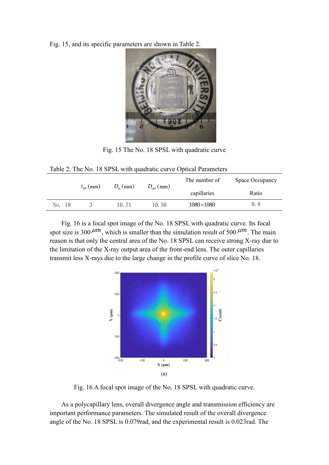Fig. 15, and its specific parameters are shown in Table 2.



Fig. 15 The No. 18 SPSL with quadratic curve

| TWO IS TO THE TIGHT OF THE MULTIPLE SURVEY THAT IS ON MUSIC WAS MADE OF |              |              |                      |                  |                 |  |  |  |
|-------------------------------------------------------------------------|--------------|--------------|----------------------|------------------|-----------------|--|--|--|
|                                                                         | $t_{SP}(mm)$ | $D_{in}(mm)$ | $D_{\text{out}}(mm)$ | The number of    | Space Occupancy |  |  |  |
|                                                                         |              |              |                      | capillaries      | Ratio           |  |  |  |
| No. 18                                                                  |              | 10.71        | 10.50                | $1080\times1080$ | 0.8             |  |  |  |

Fig. 16 is a focal spot image of the No. 18 SPSL with quadratic curve. Its focal spot size is 300  $\mu$ <sup>m</sup>, which is smaller than the simulation result of 500  $\mu$ <sup>m</sup>. The main reason is that only the central area of the No. 18 SPSL can receive strong X-ray due to the limitation of the X-ray output area of the front-end lens. The outer capillaries transmit less X-rays due to the large change in the profile curve of slice No. 18.



Fig. 16 A focal spot image of the No. 18 SPSL with quadratic curve.

As a polycapillary lens, overall divergence angle and transmission efficiency are important performance parameters. The simulated result of the overall divergence angle of the No. 18 SPSL is 0.079rad, and the experimental result is 0.023rad. The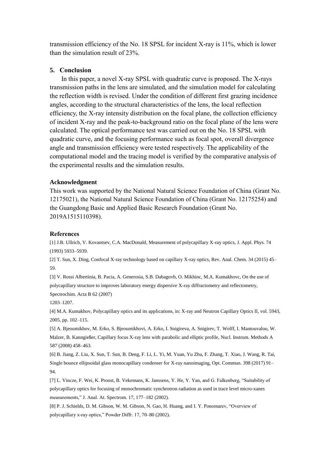transmission efficiency of the No. 18 SPSL for incident X-ray is 11%, which is lower than the simulation result of 23%.

#### **5. Conclusion**

In this paper, a novel X-ray SPSL with quadratic curve is proposed. The X-rays transmission paths in the lens are simulated, and the simulation model for calculating the reflection width is revised. Under the condition of different first grazing incidence angles, according to the structural characteristics of the lens, the local reflection efficiency, the X-ray intensity distribution on the focal plane, the collection efficiency of incident X-ray and the peak-to-background ratio on the focal plane of the lens were calculated. The optical performance test was carried out on the No. 18 SPSL with quadratic curve, and the focusing performance such as focal spot, overall divergence angle and transmission efficiency were tested respectively. The applicability of the computational model and the tracing model is verified by the comparative analysis of the experimental results and the simulation results.

#### **Acknowledgment**

This work was supported by the National Natural Science Foundation of China (Grant No. 12175021), the National Natural Science Foundation of China (Grant No. 12175254) and the Guangdong Basic and Applied Basic Research Foundation (Grant No. 2019A1515110398).

#### **References**

[1] J.B. Ullrich, V. Kovantsev, C.A. MacDonald, Measurement of polycapillary X-ray optics, J. Appl. Phys. 74 (1993) 5933–5939.

[2] T. Sun, X. Ding, Confocal X-ray technology based on capillary X-ray optics, Rev. Anal. Chem. 34 (2015) 45– 59.

[3] V. Rossi Albertinia, B. Pacia, A. Generosia, S.B. Dabagovb, O. Mikhinc, M.A. Kumakhovc, On the use of polycapillary structure to improves laboratory energy dispersive X-ray diffractometry and reflectometry,

Spectrochim. Acta B 62 (2007)

1203–1207.

[4] M.A. Kumakhov, Polycapillary optics and its applications, in: X-ray and Neutron Capillary Optics II, vol. 5943, 2005, pp. 102–115.

[5] A. Bjeoumikhov, M. Erko, S. Bjeoumikhovi, A. Erko, I. Snigireva, A. Snigirev, T. Wolff, I. Mantouvalou, W. Malzer, B. Kanngießer, Capillary focus X-ray lens with parabolic and elliptic profile, Nucl. Instrum. Methods A 587 (2008) 458–463.

[6] B. Jiang, Z. Liu, X. Sun, T. Sun, B. Deng, F. Li, L. Yi, M. Yuan, Yu Zhu, F. Zhang, T. Xiao, J. Wang, R. Tai, Single bounce ellipsoidal glass monocapillary condenser for X-ray nanoimaging, Opt. Commun. 398 (2017) 91– 94.

[7] L. Vincze, F. Wei, K. Proost, B. Vekemans, K. Janssens, Y. He, Y. Yan, and G. Falkenberg, "Suitability of polycapillary optics for focusing of monochromatic synchrotron radiation as used in trace level micro-xanes measurements," J. Anal. At. Spectrom. 17, 177–182 (2002).

[8] P. J. Schields, D. M. Gibson, W. M. Gibson, N. Gao, H. Huang, and I. Y. Ponomarev, "Overview of polycapillary x-ray optics," Powder Diffr. 17, 70–80 (2002).